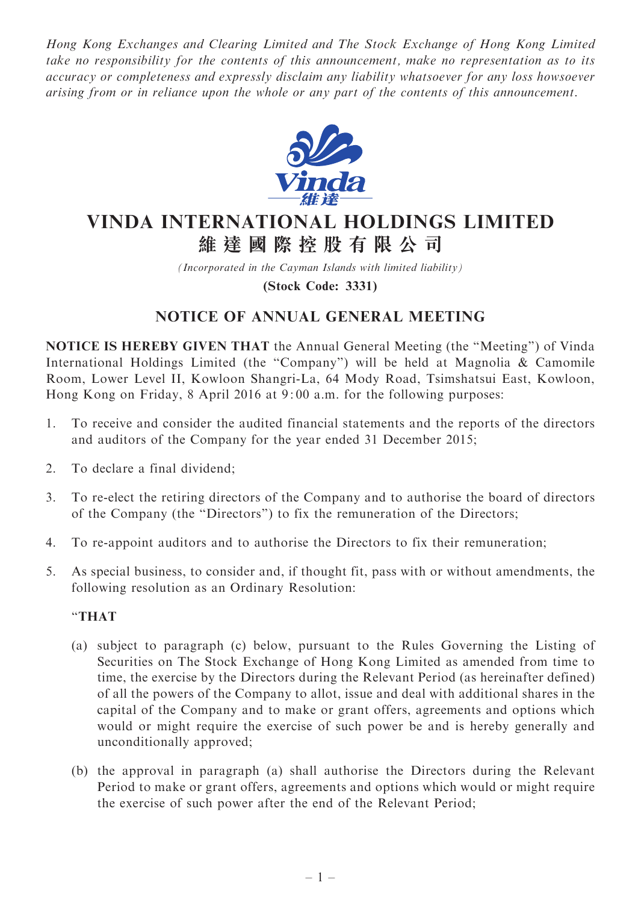Hong Kong Exchanges and Clearing Limited and The Stock Exchange of Hong Kong Limited take no responsibility for the contents of this announcement, make no representation as to its accuracy or completeness and expressly disclaim any liability whatsoever for any loss howsoever arising from or in reliance upon the whole or any part of the contents of this announcement.



# VINDA INTERNATIONAL HOLDINGS LIMITED 維 達 國 際 控 股 有 限 公 司

(Incorporated in the Cayman Islands with limited liability) (Stock Code: 3331)

## NOTICE OF ANNUAL GENERAL MEETING

NOTICE IS HEREBY GIVEN THAT the Annual General Meeting (the ''Meeting'') of Vinda International Holdings Limited (the ''Company'') will be held at Magnolia & Camomile Room, Lower Level II, Kowloon Shangri-La, 64 Mody Road, Tsimshatsui East, Kowloon, Hong Kong on Friday, 8 April 2016 at 9: 00 a.m. for the following purposes:

- 1. To receive and consider the audited financial statements and the reports of the directors and auditors of the Company for the year ended 31 December 2015;
- 2. To declare a final dividend;
- 3. To re-elect the retiring directors of the Company and to authorise the board of directors of the Company (the ''Directors'') to fix the remuneration of the Directors;
- 4. To re-appoint auditors and to authorise the Directors to fix their remuneration;
- 5. As special business, to consider and, if thought fit, pass with or without amendments, the following resolution as an Ordinary Resolution:

### ''THAT

- (a) subject to paragraph (c) below, pursuant to the Rules Governing the Listing of Securities on The Stock Exchange of Hong Kong Limited as amended from time to time, the exercise by the Directors during the Relevant Period (as hereinafter defined) of all the powers of the Company to allot, issue and deal with additional shares in the capital of the Company and to make or grant offers, agreements and options which would or might require the exercise of such power be and is hereby generally and unconditionally approved;
- (b) the approval in paragraph (a) shall authorise the Directors during the Relevant Period to make or grant offers, agreements and options which would or might require the exercise of such power after the end of the Relevant Period;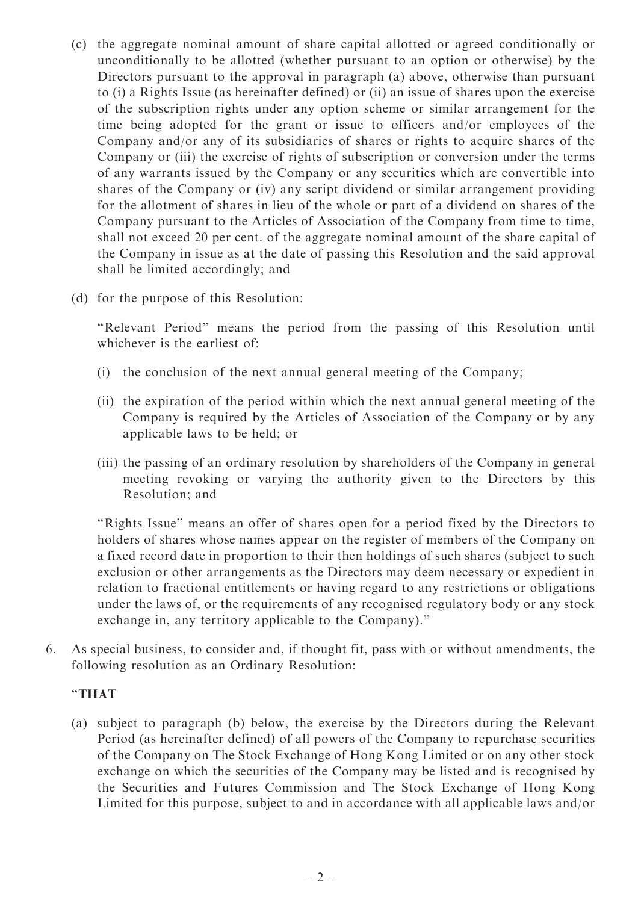- (c) the aggregate nominal amount of share capital allotted or agreed conditionally or unconditionally to be allotted (whether pursuant to an option or otherwise) by the Directors pursuant to the approval in paragraph (a) above, otherwise than pursuant to (i) a Rights Issue (as hereinafter defined) or (ii) an issue of shares upon the exercise of the subscription rights under any option scheme or similar arrangement for the time being adopted for the grant or issue to officers and/or employees of the Company and/or any of its subsidiaries of shares or rights to acquire shares of the Company or (iii) the exercise of rights of subscription or conversion under the terms of any warrants issued by the Company or any securities which are convertible into shares of the Company or (iv) any script dividend or similar arrangement providing for the allotment of shares in lieu of the whole or part of a dividend on shares of the Company pursuant to the Articles of Association of the Company from time to time, shall not exceed 20 per cent. of the aggregate nominal amount of the share capital of the Company in issue as at the date of passing this Resolution and the said approval shall be limited accordingly; and
- (d) for the purpose of this Resolution:

''Relevant Period'' means the period from the passing of this Resolution until whichever is the earliest of:

- (i) the conclusion of the next annual general meeting of the Company;
- (ii) the expiration of the period within which the next annual general meeting of the Company is required by the Articles of Association of the Company or by any applicable laws to be held; or
- (iii) the passing of an ordinary resolution by shareholders of the Company in general meeting revoking or varying the authority given to the Directors by this Resolution; and

''Rights Issue'' means an offer of shares open for a period fixed by the Directors to holders of shares whose names appear on the register of members of the Company on a fixed record date in proportion to their then holdings of such shares (subject to such exclusion or other arrangements as the Directors may deem necessary or expedient in relation to fractional entitlements or having regard to any restrictions or obligations under the laws of, or the requirements of any recognised regulatory body or any stock exchange in, any territory applicable to the Company).''

6. As special business, to consider and, if thought fit, pass with or without amendments, the following resolution as an Ordinary Resolution:

### ''THAT

(a) subject to paragraph (b) below, the exercise by the Directors during the Relevant Period (as hereinafter defined) of all powers of the Company to repurchase securities of the Company on The Stock Exchange of Hong Kong Limited or on any other stock exchange on which the securities of the Company may be listed and is recognised by the Securities and Futures Commission and The Stock Exchange of Hong Kong Limited for this purpose, subject to and in accordance with all applicable laws and/or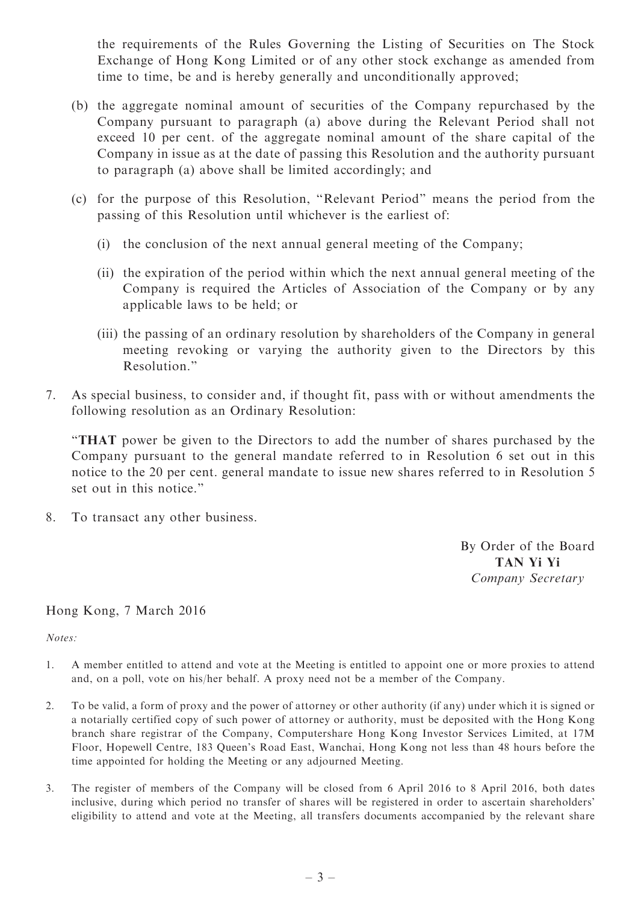the requirements of the Rules Governing the Listing of Securities on The Stock Exchange of Hong Kong Limited or of any other stock exchange as amended from time to time, be and is hereby generally and unconditionally approved;

- (b) the aggregate nominal amount of securities of the Company repurchased by the Company pursuant to paragraph (a) above during the Relevant Period shall not exceed 10 per cent. of the aggregate nominal amount of the share capital of the Company in issue as at the date of passing this Resolution and the authority pursuant to paragraph (a) above shall be limited accordingly; and
- (c) for the purpose of this Resolution, ''Relevant Period'' means the period from the passing of this Resolution until whichever is the earliest of:
	- (i) the conclusion of the next annual general meeting of the Company;
	- (ii) the expiration of the period within which the next annual general meeting of the Company is required the Articles of Association of the Company or by any applicable laws to be held; or
	- (iii) the passing of an ordinary resolution by shareholders of the Company in general meeting revoking or varying the authority given to the Directors by this Resolution.''
- 7. As special business, to consider and, if thought fit, pass with or without amendments the following resolution as an Ordinary Resolution:

''THAT power be given to the Directors to add the number of shares purchased by the Company pursuant to the general mandate referred to in Resolution 6 set out in this notice to the 20 per cent. general mandate to issue new shares referred to in Resolution 5 set out in this notice.''

8. To transact any other business.

By Order of the Board TAN Yi Yi Company Secretary

### Hong Kong, 7 March 2016

Notes:

- 1. A member entitled to attend and vote at the Meeting is entitled to appoint one or more proxies to attend and, on a poll, vote on his/her behalf. A proxy need not be a member of the Company.
- 2. To be valid, a form of proxy and the power of attorney or other authority (if any) under which it is signed or a notarially certified copy of such power of attorney or authority, must be deposited with the Hong Kong branch share registrar of the Company, Computershare Hong Kong Investor Services Limited, at 17M Floor, Hopewell Centre, 183 Queen's Road East, Wanchai, Hong Kong not less than 48 hours before the time appointed for holding the Meeting or any adjourned Meeting.
- 3. The register of members of the Company will be closed from 6 April 2016 to 8 April 2016, both dates inclusive, during which period no transfer of shares will be registered in order to ascertain shareholders' eligibility to attend and vote at the Meeting, all transfers documents accompanied by the relevant share